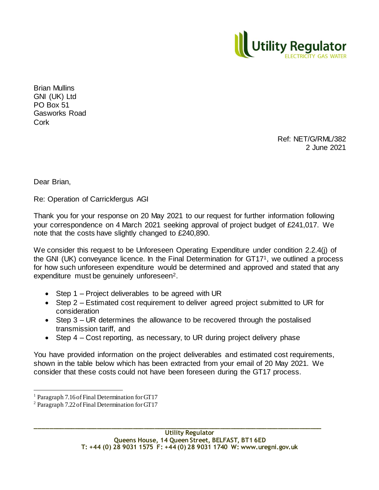

Brian Mullins GNI (UK) Ltd PO Box 51 Gasworks Road **Cork** 

> Ref: NET/G/RML/382 2 June 2021

Dear Brian,

l

Re: Operation of Carrickfergus AGI

Thank you for your response on 20 May 2021 to our request for further information following your correspondence on 4 March 2021 seeking approval of project budget of £241,017. We note that the costs have slightly changed to £240,890.

We consider this request to be Unforeseen Operating Expenditure under condition 2.2.4(j) of the GNI (UK) conveyance licence. In the Final Determination for GT171, we outlined a process for how such unforeseen expenditure would be determined and approved and stated that any expenditure must be genuinely unforeseen<sup>2</sup>.

- Step 1 Project deliverables to be agreed with UR
- Step 2 Estimated cost requirement to deliver agreed project submitted to UR for consideration
- Step 3 UR determines the allowance to be recovered through the postalised transmission tariff, and
- Step 4 Cost reporting, as necessary, to UR during project delivery phase

You have provided information on the project deliverables and estimated cost requirements, shown in the table below which has been extracted from your email of 20 May 2021. We consider that these costs could not have been foreseen during the GT17 process.

**\_\_\_\_\_\_\_\_\_\_\_\_\_\_\_\_\_\_\_\_\_\_\_\_\_\_\_\_\_\_\_\_\_\_\_\_\_\_\_\_\_\_\_\_\_\_\_\_\_\_\_\_\_\_\_\_\_\_\_\_\_\_\_\_\_\_\_\_\_\_\_\_\_\_\_\_\_\_\_**

Paragraph 7.16 of Final Determination for GT17

<sup>2</sup> Paragraph 7.22 of Final Determination for GT17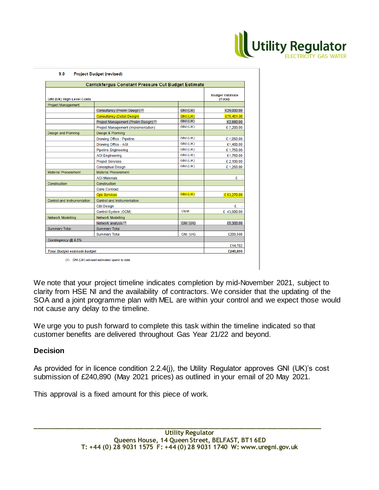

| <b>GNI (UK) High Level Costs</b><br><b>Project Management</b> | <b>Carrickfergus Constant Pressure Cut Budget Estimate</b><br>Consultancy (Prelim Design) (1)<br><b>Consultancy (Detail Design)</b> | GNI (UK)        | <b>Budget Estimate</b><br>(Total) |  |
|---------------------------------------------------------------|-------------------------------------------------------------------------------------------------------------------------------------|-----------------|-----------------------------------|--|
|                                                               |                                                                                                                                     |                 |                                   |  |
|                                                               |                                                                                                                                     |                 |                                   |  |
|                                                               |                                                                                                                                     |                 |                                   |  |
|                                                               |                                                                                                                                     |                 | £29,000.00                        |  |
|                                                               |                                                                                                                                     | <b>GNI (UK)</b> | £75,401.00                        |  |
|                                                               | Project Management (Prelim Design) (1)                                                                                              | GNI (UK)        | £2,880.00                         |  |
|                                                               | Project Management (Implementation)                                                                                                 | <b>GNI (UK)</b> | £7,200.00                         |  |
| Design and Planning                                           | Design & Planning                                                                                                                   |                 |                                   |  |
|                                                               | Drawing Office - Pipeline                                                                                                           | GNI (UK)        | £1,050.00                         |  |
|                                                               | Drawing Office - AGI                                                                                                                | GNI (UK)        | £1,400.00                         |  |
|                                                               | <b>Pipeline Engineering</b>                                                                                                         | GNI (UK)        | £1,750.00                         |  |
|                                                               | <b>AGI Engineering</b>                                                                                                              | GNI (UK)        | £1,750.00                         |  |
|                                                               | <b>Project Services</b>                                                                                                             | GNI (UK)        | £ 2,100.00                        |  |
|                                                               | <b>Conceptual Design</b>                                                                                                            | GNI (UK)        | £1,250.00                         |  |
| <b>Material Procurement</b>                                   | <b>Material Procurement</b>                                                                                                         |                 |                                   |  |
|                                                               | <b>AGI Materials</b>                                                                                                                |                 | £                                 |  |
| Construction                                                  | Construction                                                                                                                        |                 |                                   |  |
|                                                               | <b>Cons Contract</b>                                                                                                                |                 |                                   |  |
|                                                               | <b>Ops Services</b>                                                                                                                 | GNI (UK)        | € 53,270.00                       |  |
| Control and Instrumentation                                   | Control and Instrumentation                                                                                                         |                 |                                   |  |
|                                                               | C&I Design                                                                                                                          |                 | £                                 |  |
|                                                               | Control System (OEM)                                                                                                                | <b>OEM</b>      | £ 43,900.00                       |  |
| <b>Network Modelling</b>                                      | <b>Network Modelling</b>                                                                                                            |                 |                                   |  |
|                                                               | Network analysis <sup>(1)</sup>                                                                                                     | GNI (UK)        | £5,300.00                         |  |
| <b>Summary Total</b>                                          | <b>Summary Total</b>                                                                                                                |                 |                                   |  |
|                                                               | <b>Summary Total</b>                                                                                                                | GNI (UK)        | £209,580                          |  |
| Contingency @ 6.5%                                            |                                                                                                                                     |                 |                                   |  |
|                                                               |                                                                                                                                     |                 | £14,702                           |  |
| <b>Total Budget estimate budget</b>                           |                                                                                                                                     |                 | £240,890                          |  |

(1) GNI (UK) advised estimated spend to date.

We note that your project timeline indicates completion by mid-November 2021, subject to clarity from HSE NI and the availability of contractors. We consider that the updating of the SOA and a joint programme plan with MEL are within your control and we expect those would not cause any delay to the timeline.

We urge you to push forward to complete this task within the timeline indicated so that customer benefits are delivered throughout Gas Year 21/22 and beyond.

## **Decision**

As provided for in licence condition 2.2.4(j), the Utility Regulator approves GNI (UK)'s cost submission of £240,890 (May 2021 prices) as outlined in your email of 20 May 2021.

**\_\_\_\_\_\_\_\_\_\_\_\_\_\_\_\_\_\_\_\_\_\_\_\_\_\_\_\_\_\_\_\_\_\_\_\_\_\_\_\_\_\_\_\_\_\_\_\_\_\_\_\_\_\_\_\_\_\_\_\_\_\_\_\_\_\_\_\_\_\_\_\_\_\_\_\_\_\_\_**

This approval is a fixed amount for this piece of work.